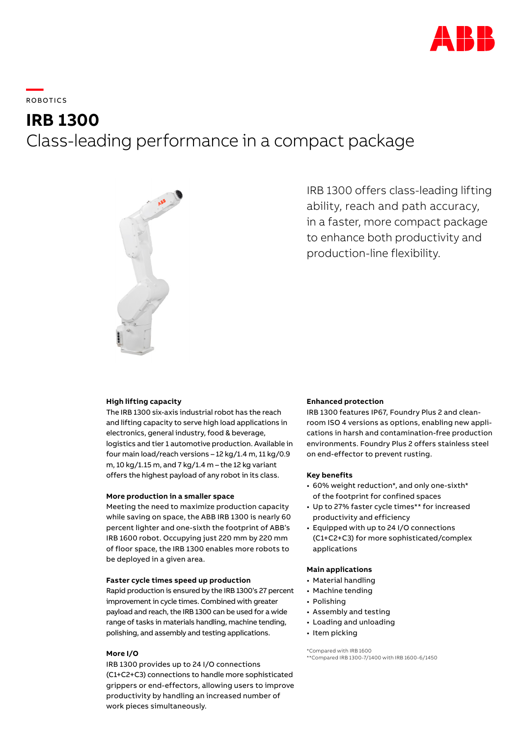

**—**  ROBOTICS

**IRB 1300** 

# Class-leading performance in a compact package



IRB 1300 offers class-leading lifting ability, reach and path accuracy, in a faster, more compact package to enhance both productivity and production-line flexibility.

# **High lifting capacity**

The IRB 1300 six-axis industrial robot has the reach and lifting capacity to serve high load applications in electronics, general industry, food & beverage, logistics and tier 1 automotive production. Available in four main load/reach versions – 12 kg/1.4 m, 11 kg/0.9 m, 10 kg/1.15 m, and 7 kg/1.4 m – the 12 kg variant offers the highest payload of any robot in its class.

# **More production in a smaller space**

Meeting the need to maximize production capacity while saving on space, the ABB IRB 1300 is nearly 60 percent lighter and one-sixth the footprint of ABB's IRB 1600 robot. Occupying just 220 mm by 220 mm of floor space, the IRB 1300 enables more robots to be deployed in a given area.

# **Faster cycle times speed up production**

Rapid production is ensured by the IRB 1300's 27 percent improvement in cycle times. Combined with greater payload and reach, the IRB 1300 can be used for a wide range of tasks in materials handling, machine tending, polishing, and assembly and testing applications.

## **More I/O**

IRB 1300 provides up to 24 I/O connections (C1+C2+C3) connections to handle more sophisticated grippers or end-effectors, allowing users to improve productivity by handling an increased number of work pieces simultaneously.

# **Enhanced protection**

IRB 1300 features IP67, Foundry Plus 2 and cleanroom ISO 4 versions as options, enabling new applications in harsh and contamination-free production environments. Foundry Plus 2 offers stainless steel on end-effector to prevent rusting.

# **Key benefits**

- 60% weight reduction\*, and only one-sixth\* of the footprint for confined spaces
- Up to 27% faster cycle times\*\* for increased productivity and efficiency
- Equipped with up to 24 I/O connections (C1+C2+C3) for more sophisticated/complex applications

# **Main applications**

- Material handling
- Machine tending
- Polishing
- Assembly and testing
- Loading and unloading
- Item picking

\*Compared with IRB 1600

\*\*Compared IRB 1300-7/1400 with IRB 1600-6/1450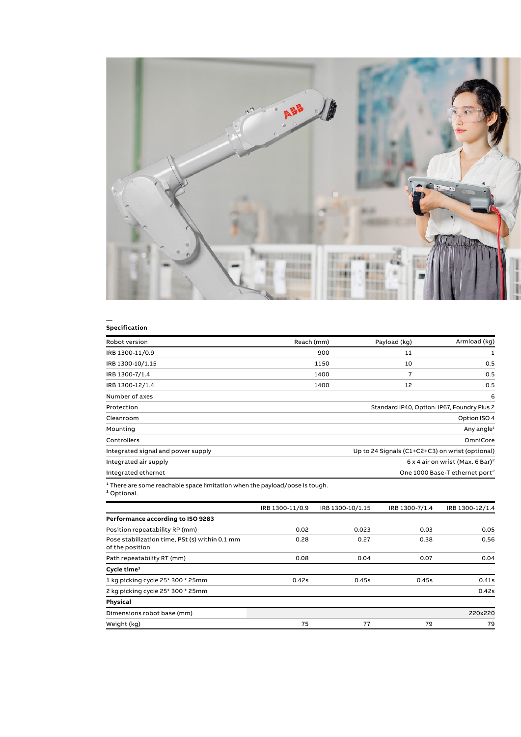

## **— Specification**

| Armload (kg)                                        | Payload (kg) | Reach (mm) | Robot version                      |
|-----------------------------------------------------|--------------|------------|------------------------------------|
|                                                     | 11           | 900        | IRB 1300-11/0.9                    |
| 0.5                                                 | 10           | 1150       | IRB 1300-10/1.15                   |
| 0.5                                                 | 7            | 1400       | IRB 1300-7/1.4                     |
| 0.5                                                 | 12           | 1400       | IRB 1300-12/1.4                    |
| 6                                                   |              |            | Number of axes                     |
| Standard IP40, Option: IP67, Foundry Plus 2         |              |            | Protection                         |
| Option ISO 4                                        |              |            | Cleanroom                          |
| Any angle <sup>1</sup>                              |              |            | Mounting                           |
| OmniCore                                            |              |            | Controllers                        |
| Up to 24 Signals (C1+C2+C3) on wrist (optional)     |              |            | Integrated signal and power supply |
| $6 \times 4$ air on wrist (Max, 6 Bar) <sup>2</sup> |              |            | Integrated air supply              |
| One 1000 Base-T ethernet port <sup>2</sup>          |              |            | Integrated ethernet                |

² Optional.

|                                                                   | IRB 1300-11/0.9 | IRB 1300-10/1.15 | IRB 1300-7/1.4 | IRB 1300-12/1.4 |
|-------------------------------------------------------------------|-----------------|------------------|----------------|-----------------|
| Performance according to ISO 9283                                 |                 |                  |                |                 |
| Position repeatability RP (mm)                                    | 0.02            | 0.023            | 0.03           | 0.05            |
| Pose stabilization time, PSt (s) within 0.1 mm<br>of the position | 0.28            | 0.27             | 0.38           | 0.56            |
| Path repeatability RT (mm)                                        | 0.08            | 0.04             | 0.07           | 0.04            |
| Cycle time <sup>3</sup>                                           |                 |                  |                |                 |
| 1 kg picking cycle 25* 300 * 25mm                                 | 0.42s           | 0.45s            | 0.45s          | 0.41s           |
| 2 kg picking cycle 25* 300 * 25mm                                 |                 |                  |                | 0.42s           |
| Physical                                                          |                 |                  |                |                 |
| Dimensions robot base (mm)                                        |                 |                  |                | 220x220         |
| Weight (kg)                                                       | 75              | 77               | 79             | 79              |